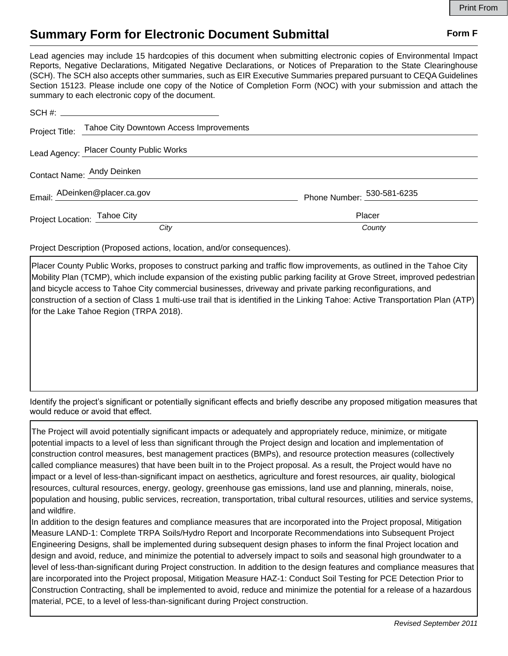## **Summary Form for Electronic Document Submittal Form F Form F**

Lead agencies may include 15 hardcopies of this document when submitting electronic copies of Environmental Impact Reports, Negative Declarations, Mitigated Negative Declarations, or Notices of Preparation to the State Clearinghouse (SCH). The SCH also accepts other summaries, such as EIR Executive Summaries prepared pursuant to CEQA Guidelines Section 15123. Please include one copy of the Notice of Completion Form (NOC) with your submission and attach the summary to each electronic copy of the document.

|                              | Project Title: Tahoe City Downtown Access Improvements |                            |
|------------------------------|--------------------------------------------------------|----------------------------|
|                              | Lead Agency: Placer County Public Works                |                            |
| Contact Name: Andy Deinken   |                                                        |                            |
|                              | Email: ADeinken@placer.ca.gov                          | Phone Number: 530-581-6235 |
| Project Location: Tahoe City |                                                        | Placer                     |
|                              | City                                                   | County                     |

Project Description (Proposed actions, location, and/or consequences).

Placer County Public Works, proposes to construct parking and traffic flow improvements, as outlined in the Tahoe City Mobility Plan (TCMP), which include expansion of the existing public parking facility at Grove Street, improved pedestrian and bicycle access to Tahoe City commercial businesses, driveway and private parking reconfigurations, and construction of a section of Class 1 multi-use trail that is identified in the Linking Tahoe: Active Transportation Plan (ATP) for the Lake Tahoe Region (TRPA 2018).

Identify the project's significant or potentially significant effects and briefly describe any proposed mitigation measures that would reduce or avoid that effect.

The Project will avoid potentially significant impacts or adequately and appropriately reduce, minimize, or mitigate potential impacts to a level of less than significant through the Project design and location and implementation of construction control measures, best management practices (BMPs), and resource protection measures (collectively called compliance measures) that have been built in to the Project proposal. As a result, the Project would have no impact or a level of less-than-significant impact on aesthetics, agriculture and forest resources, air quality, biological resources, cultural resources, energy, geology, greenhouse gas emissions, land use and planning, minerals, noise, population and housing, public services, recreation, transportation, tribal cultural resources, utilities and service systems, and wildfire.

In addition to the design features and compliance measures that are incorporated into the Project proposal, Mitigation Measure LAND-1: Complete TRPA Soils/Hydro Report and Incorporate Recommendations into Subsequent Project Engineering Designs, shall be implemented during subsequent design phases to inform the final Project location and design and avoid, reduce, and minimize the potential to adversely impact to soils and seasonal high groundwater to a level of less-than-significant during Project construction. In addition to the design features and compliance measures that are incorporated into the Project proposal, Mitigation Measure HAZ-1: Conduct Soil Testing for PCE Detection Prior to Construction Contracting, shall be implemented to avoid, reduce and minimize the potential for a release of a hazardous material, PCE, to a level of less-than-significant during Project construction.